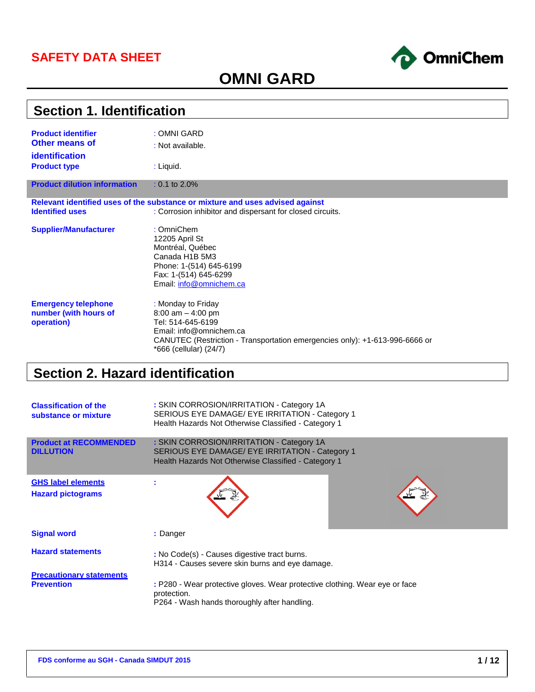### **SAFETY DATA SHEET**



# **OMNI GARD**

| <b>Section 1. Identification</b>    |                                                                                                       |  |  |  |
|-------------------------------------|-------------------------------------------------------------------------------------------------------|--|--|--|
| <b>Product identifier</b>           | : OMNI GARD                                                                                           |  |  |  |
| <b>Other means of</b>               | : Not available.                                                                                      |  |  |  |
| <b>identification</b>               |                                                                                                       |  |  |  |
| <b>Product type</b>                 | : Liquid.                                                                                             |  |  |  |
| <b>Product dilution information</b> | $: 0.1$ to 2.0%                                                                                       |  |  |  |
|                                     | Relevant identified uses of the substance or mixture and uses advised against                         |  |  |  |
| <b>Identified uses</b>              | : Corrosion inhibitor and dispersant for closed circuits.                                             |  |  |  |
| <b>Supplier/Manufacturer</b>        | : OmniChem                                                                                            |  |  |  |
|                                     | 12205 April St                                                                                        |  |  |  |
|                                     | Montréal, Québec<br>Canada H1B 5M3                                                                    |  |  |  |
|                                     | Phone: 1-(514) 645-6199                                                                               |  |  |  |
|                                     | Fax: 1-(514) 645-6299                                                                                 |  |  |  |
|                                     | Email: info@omnichem.ca                                                                               |  |  |  |
| <b>Emergency telephone</b>          | : Monday to Friday                                                                                    |  |  |  |
| number (with hours of               | $8:00$ am $-4:00$ pm                                                                                  |  |  |  |
| operation)                          | Tel: 514-645-6199                                                                                     |  |  |  |
|                                     | Email: info@omnichem.ca                                                                               |  |  |  |
|                                     | CANUTEC (Restriction - Transportation emergencies only): +1-613-996-6666 or<br>*666 (cellular) (24/7) |  |  |  |
|                                     |                                                                                                       |  |  |  |

# **Section 2. Hazard identification**

| <b>Classification of the</b><br>substance or mixture  | : SKIN CORROSION/IRRITATION - Category 1A<br>SERIOUS EYE DAMAGE/ EYE IRRITATION - Category 1<br>Health Hazards Not Otherwise Classified - Category 1 |
|-------------------------------------------------------|------------------------------------------------------------------------------------------------------------------------------------------------------|
| <b>Product at RECOMMENDED</b><br><b>DILLUTION</b>     | : SKIN CORROSION/IRRITATION - Category 1A<br>SERIOUS EYE DAMAGE/ EYE IRRITATION - Category 1<br>Health Hazards Not Otherwise Classified - Category 1 |
| <b>GHS label elements</b><br><b>Hazard pictograms</b> |                                                                                                                                                      |
| <b>Signal word</b>                                    | : Danger                                                                                                                                             |
| <b>Hazard statements</b>                              | : No Code(s) - Causes digestive tract burns.<br>H314 - Causes severe skin burns and eye damage.                                                      |
| <b>Precautionary statements</b><br><b>Prevention</b>  | : P280 - Wear protective gloves. Wear protective clothing. Wear eye or face<br>protection.<br>P264 - Wash hands thoroughly after handling.           |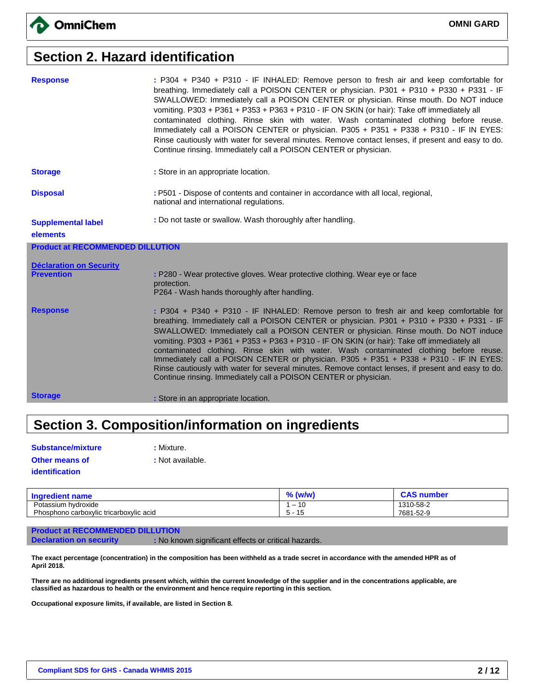## **Section 2. Hazard identification**

| <b>Response</b>                         | : P304 + P340 + P310 - IF INHALED: Remove person to fresh air and keep comfortable for<br>breathing. Immediately call a POISON CENTER or physician. P301 + P310 + P330 + P331 - IF<br>SWALLOWED: Immediately call a POISON CENTER or physician. Rinse mouth. Do NOT induce<br>vomiting. P303 + P361 + P353 + P363 + P310 - IF ON SKIN (or hair): Take off immediately all<br>contaminated clothing. Rinse skin with water. Wash contaminated clothing before reuse.<br>Immediately call a POISON CENTER or physician. P305 + P351 + P338 + P310 - IF IN EYES:<br>Rinse cautiously with water for several minutes. Remove contact lenses, if present and easy to do.<br>Continue rinsing. Immediately call a POISON CENTER or physician. |
|-----------------------------------------|-----------------------------------------------------------------------------------------------------------------------------------------------------------------------------------------------------------------------------------------------------------------------------------------------------------------------------------------------------------------------------------------------------------------------------------------------------------------------------------------------------------------------------------------------------------------------------------------------------------------------------------------------------------------------------------------------------------------------------------------|
| <b>Storage</b>                          | : Store in an appropriate location.                                                                                                                                                                                                                                                                                                                                                                                                                                                                                                                                                                                                                                                                                                     |
| <b>Disposal</b>                         | : P501 - Dispose of contents and container in accordance with all local, regional,<br>national and international regulations.                                                                                                                                                                                                                                                                                                                                                                                                                                                                                                                                                                                                           |
| <b>Supplemental label</b>               | : Do not taste or swallow. Wash thoroughly after handling.                                                                                                                                                                                                                                                                                                                                                                                                                                                                                                                                                                                                                                                                              |
| elements                                |                                                                                                                                                                                                                                                                                                                                                                                                                                                                                                                                                                                                                                                                                                                                         |
| <b>Product at RECOMMENDED DILLUTION</b> |                                                                                                                                                                                                                                                                                                                                                                                                                                                                                                                                                                                                                                                                                                                                         |
| <b>Déclaration on Security</b>          |                                                                                                                                                                                                                                                                                                                                                                                                                                                                                                                                                                                                                                                                                                                                         |
| <b>Prevention</b>                       | : P280 - Wear protective gloves. Wear protective clothing. Wear eye or face<br>protection.                                                                                                                                                                                                                                                                                                                                                                                                                                                                                                                                                                                                                                              |
|                                         |                                                                                                                                                                                                                                                                                                                                                                                                                                                                                                                                                                                                                                                                                                                                         |
|                                         | P264 - Wash hands thoroughly after handling.                                                                                                                                                                                                                                                                                                                                                                                                                                                                                                                                                                                                                                                                                            |
| <b>Response</b>                         | : P304 + P340 + P310 - IF INHALED: Remove person to fresh air and keep comfortable for<br>breathing. Immediately call a POISON CENTER or physician. P301 + P310 + P330 + P331 - IF<br>SWALLOWED: Immediately call a POISON CENTER or physician. Rinse mouth. Do NOT induce<br>vomiting. P303 + P361 + P353 + P363 + P310 - IF ON SKIN (or hair): Take off immediately all<br>contaminated clothing. Rinse skin with water. Wash contaminated clothing before reuse.<br>Immediately call a POISON CENTER or physician. P305 + P351 + P338 + P310 - IF IN EYES:<br>Rinse cautiously with water for several minutes. Remove contact lenses, if present and easy to do.<br>Continue rinsing. Immediately call a POISON CENTER or physician. |

# **Section 3. Composition/information on ingredients**

| <b>Substance/mixture</b> |
|--------------------------|
| <b>Other means of</b>    |
| identification           |

**: Mixture.** 

**:** Not available.

| <b>Ingredient name</b>                  | 07<br>(w/w<br>70           | <b>CAS number</b> |
|-----------------------------------------|----------------------------|-------------------|
| Potassium hydroxide                     | AC                         | 1310-58-2         |
| Phosphono carboxylic tricarboxylic acid | 4E<br><b>1</b><br>כ ו<br>v | 7681-52-9         |

#### **Product at RECOMMENDED DILLUTION**

**Declaration on security : No known significant effects or critical hazards.** 

**The exact percentage (concentration) in the composition has been withheld as a trade secret in accordance with the amended HPR as of April 2018.**

**There are no additional ingredients present which, within the current knowledge of the supplier and in the concentrations applicable, are classified as hazardous to health or the environment and hence require reporting in this section.**

**Occupational exposure limits, if available, are listed in Section 8.**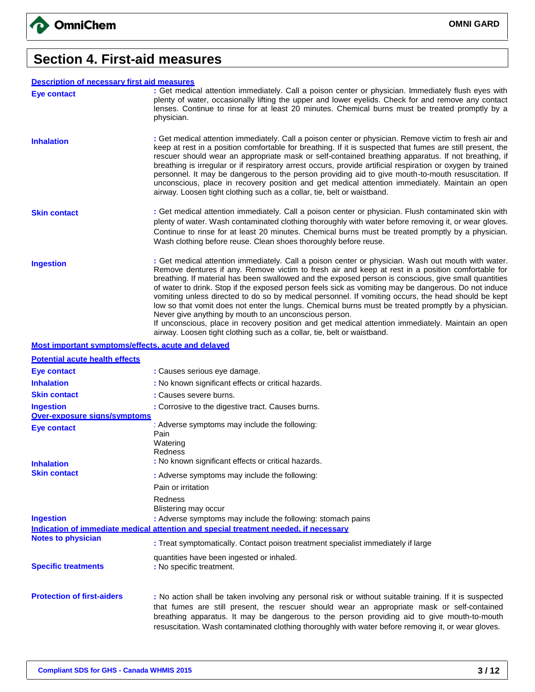

### **Section 4. First-aid measures**

#### **Description of necessary first aid measures**

| <b>Description of necessary first aid measures</b> |                                                                                                                                                                                                                                                                                                                                                                                                                                                                                                                                                                                                                                                                                                                                                                                                                                                                                  |
|----------------------------------------------------|----------------------------------------------------------------------------------------------------------------------------------------------------------------------------------------------------------------------------------------------------------------------------------------------------------------------------------------------------------------------------------------------------------------------------------------------------------------------------------------------------------------------------------------------------------------------------------------------------------------------------------------------------------------------------------------------------------------------------------------------------------------------------------------------------------------------------------------------------------------------------------|
| <b>Eye contact</b>                                 | : Get medical attention immediately. Call a poison center or physician. Immediately flush eyes with<br>plenty of water, occasionally lifting the upper and lower eyelids. Check for and remove any contact<br>lenses. Continue to rinse for at least 20 minutes. Chemical burns must be treated promptly by a<br>physician.                                                                                                                                                                                                                                                                                                                                                                                                                                                                                                                                                      |
| <b>Inhalation</b>                                  | : Get medical attention immediately. Call a poison center or physician. Remove victim to fresh air and<br>keep at rest in a position comfortable for breathing. If it is suspected that fumes are still present, the<br>rescuer should wear an appropriate mask or self-contained breathing apparatus. If not breathing, if<br>breathing is irregular or if respiratory arrest occurs, provide artificial respiration or oxygen by trained<br>personnel. It may be dangerous to the person providing aid to give mouth-to-mouth resuscitation. If<br>unconscious, place in recovery position and get medical attention immediately. Maintain an open<br>airway. Loosen tight clothing such as a collar, tie, belt or waistband.                                                                                                                                                  |
| <b>Skin contact</b>                                | : Get medical attention immediately. Call a poison center or physician. Flush contaminated skin with<br>plenty of water. Wash contaminated clothing thoroughly with water before removing it, or wear gloves.<br>Continue to rinse for at least 20 minutes. Chemical burns must be treated promptly by a physician.<br>Wash clothing before reuse. Clean shoes thoroughly before reuse.                                                                                                                                                                                                                                                                                                                                                                                                                                                                                          |
| <b>Ingestion</b>                                   | : Get medical attention immediately. Call a poison center or physician. Wash out mouth with water.<br>Remove dentures if any. Remove victim to fresh air and keep at rest in a position comfortable for<br>breathing. If material has been swallowed and the exposed person is conscious, give small quantities<br>of water to drink. Stop if the exposed person feels sick as vomiting may be dangerous. Do not induce<br>vomiting unless directed to do so by medical personnel. If vomiting occurs, the head should be kept<br>low so that vomit does not enter the lungs. Chemical burns must be treated promptly by a physician.<br>Never give anything by mouth to an unconscious person.<br>If unconscious, place in recovery position and get medical attention immediately. Maintain an open<br>airway. Loosen tight clothing such as a collar, tie, belt or waistband. |

#### **Most important symptoms/effects, acute and delayed**

| <b>Potential acute health effects</b> |                                                                                                                                                                                                                                                                                                                                                                                                              |
|---------------------------------------|--------------------------------------------------------------------------------------------------------------------------------------------------------------------------------------------------------------------------------------------------------------------------------------------------------------------------------------------------------------------------------------------------------------|
| <b>Eye contact</b>                    | : Causes serious eye damage.                                                                                                                                                                                                                                                                                                                                                                                 |
| <b>Inhalation</b>                     | : No known significant effects or critical hazards.                                                                                                                                                                                                                                                                                                                                                          |
| <b>Skin contact</b>                   | : Causes severe burns.                                                                                                                                                                                                                                                                                                                                                                                       |
| <b>Ingestion</b>                      | : Corrosive to the digestive tract. Causes burns.                                                                                                                                                                                                                                                                                                                                                            |
| Over-exposure signs/symptoms          |                                                                                                                                                                                                                                                                                                                                                                                                              |
| Eye contact                           | : Adverse symptoms may include the following:<br>Pain                                                                                                                                                                                                                                                                                                                                                        |
|                                       | Watering                                                                                                                                                                                                                                                                                                                                                                                                     |
| <b>Inhalation</b>                     | Redness<br>: No known significant effects or critical hazards.                                                                                                                                                                                                                                                                                                                                               |
| <b>Skin contact</b>                   | : Adverse symptoms may include the following:                                                                                                                                                                                                                                                                                                                                                                |
|                                       | Pain or irritation                                                                                                                                                                                                                                                                                                                                                                                           |
|                                       | Redness                                                                                                                                                                                                                                                                                                                                                                                                      |
|                                       | Blistering may occur                                                                                                                                                                                                                                                                                                                                                                                         |
| <b>Ingestion</b>                      | : Adverse symptoms may include the following: stomach pains                                                                                                                                                                                                                                                                                                                                                  |
|                                       | Indication of immediate medical attention and special treatment needed, if necessary                                                                                                                                                                                                                                                                                                                         |
| <b>Notes to physician</b>             | : Treat symptomatically. Contact poison treatment specialist immediately if large                                                                                                                                                                                                                                                                                                                            |
| <b>Specific treatments</b>            | quantities have been ingested or inhaled.<br>: No specific treatment.                                                                                                                                                                                                                                                                                                                                        |
| <b>Protection of first-aiders</b>     | : No action shall be taken involving any personal risk or without suitable training. If it is suspected<br>that fumes are still present, the rescuer should wear an appropriate mask or self-contained<br>breathing apparatus. It may be dangerous to the person providing aid to give mouth-to-mouth<br>resuscitation. Wash contaminated clothing thoroughly with water before removing it, or wear gloves. |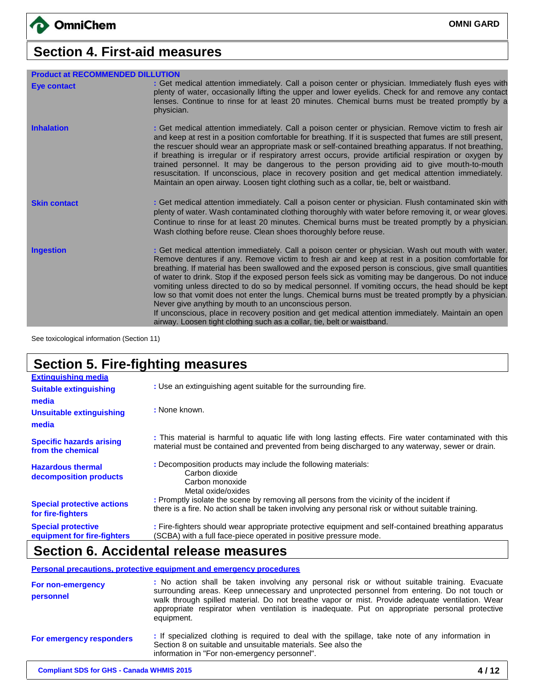# **Section 4. First-aid measures**

| <b>Product at RECOMMENDED DILLUTION</b> |                                                                                                                                                                                                                                                                                                                                                                                                                                                                                                                                                                                                                                                                                                                                                                                                                                                                                  |
|-----------------------------------------|----------------------------------------------------------------------------------------------------------------------------------------------------------------------------------------------------------------------------------------------------------------------------------------------------------------------------------------------------------------------------------------------------------------------------------------------------------------------------------------------------------------------------------------------------------------------------------------------------------------------------------------------------------------------------------------------------------------------------------------------------------------------------------------------------------------------------------------------------------------------------------|
| <b>Eye contact</b>                      | : Get medical attention immediately. Call a poison center or physician. Immediately flush eyes with<br>plenty of water, occasionally lifting the upper and lower eyelids. Check for and remove any contact<br>lenses. Continue to rinse for at least 20 minutes. Chemical burns must be treated promptly by a<br>physician.                                                                                                                                                                                                                                                                                                                                                                                                                                                                                                                                                      |
| <b>Inhalation</b>                       | : Get medical attention immediately. Call a poison center or physician. Remove victim to fresh air<br>and keep at rest in a position comfortable for breathing. If it is suspected that fumes are still present,<br>the rescuer should wear an appropriate mask or self-contained breathing apparatus. If not breathing,<br>if breathing is irregular or if respiratory arrest occurs, provide artificial respiration or oxygen by<br>trained personnel. It may be dangerous to the person providing aid to give mouth-to-mouth<br>resuscitation. If unconscious, place in recovery position and get medical attention immediately.<br>Maintain an open airway. Loosen tight clothing such as a collar, tie, belt or waistband.                                                                                                                                                  |
| <b>Skin contact</b>                     | : Get medical attention immediately. Call a poison center or physician. Flush contaminated skin with<br>plenty of water. Wash contaminated clothing thoroughly with water before removing it, or wear gloves.<br>Continue to rinse for at least 20 minutes. Chemical burns must be treated promptly by a physician.<br>Wash clothing before reuse. Clean shoes thoroughly before reuse.                                                                                                                                                                                                                                                                                                                                                                                                                                                                                          |
| <b>Ingestion</b>                        | : Get medical attention immediately. Call a poison center or physician. Wash out mouth with water.<br>Remove dentures if any. Remove victim to fresh air and keep at rest in a position comfortable for<br>breathing. If material has been swallowed and the exposed person is conscious, give small quantities<br>of water to drink. Stop if the exposed person feels sick as vomiting may be dangerous. Do not induce<br>vomiting unless directed to do so by medical personnel. If vomiting occurs, the head should be kept<br>low so that vomit does not enter the lungs. Chemical burns must be treated promptly by a physician.<br>Never give anything by mouth to an unconscious person.<br>If unconscious, place in recovery position and get medical attention immediately. Maintain an open<br>airway. Loosen tight clothing such as a collar, tie, belt or waistband. |

See toxicological information (Section 11)

# **Section 5. Fire-fighting measures**

| <b>Extinguishing media</b>                               |                                                                                                                                                                                                            |
|----------------------------------------------------------|------------------------------------------------------------------------------------------------------------------------------------------------------------------------------------------------------------|
| <b>Suitable extinguishing</b>                            | : Use an extinguishing agent suitable for the surrounding fire.                                                                                                                                            |
| media                                                    |                                                                                                                                                                                                            |
| Unsuitable extinguishing                                 | : None known.                                                                                                                                                                                              |
| media                                                    |                                                                                                                                                                                                            |
| <b>Specific hazards arising</b><br>from the chemical     | : This material is harmful to aquatic life with long lasting effects. Fire water contaminated with this<br>material must be contained and prevented from being discharged to any waterway, sewer or drain. |
| <b>Hazardous thermal</b><br>decomposition products       | : Decomposition products may include the following materials:<br>Carbon dioxide<br>Carbon monoxide<br>Metal oxide/oxides                                                                                   |
| <b>Special protective actions</b><br>for fire-fighters   | : Promptly isolate the scene by removing all persons from the vicinity of the incident if<br>there is a fire. No action shall be taken involving any personal risk or without suitable training.           |
| <b>Special protective</b><br>equipment for fire-fighters | : Fire-fighters should wear appropriate protective equipment and self-contained breathing apparatus<br>(SCBA) with a full face-piece operated in positive pressure mode.                                   |

### **Section 6. Accidental release measures**

**Personal precautions, protective equipment and emergency procedures**

| For non-emergency<br>personnel | : No action shall be taken involving any personal risk or without suitable training. Evacuate<br>surrounding areas. Keep unnecessary and unprotected personnel from entering. Do not touch or<br>walk through spilled material. Do not breathe vapor or mist. Provide adequate ventilation. Wear<br>appropriate respirator when ventilation is inadequate. Put on appropriate personal protective<br>equipment. |
|--------------------------------|-----------------------------------------------------------------------------------------------------------------------------------------------------------------------------------------------------------------------------------------------------------------------------------------------------------------------------------------------------------------------------------------------------------------|
| For emergency responders       | : If specialized clothing is required to deal with the spillage, take note of any information in<br>Section 8 on suitable and unsuitable materials. See also the<br>information in "For non-emergency personnel".                                                                                                                                                                                               |
|                                |                                                                                                                                                                                                                                                                                                                                                                                                                 |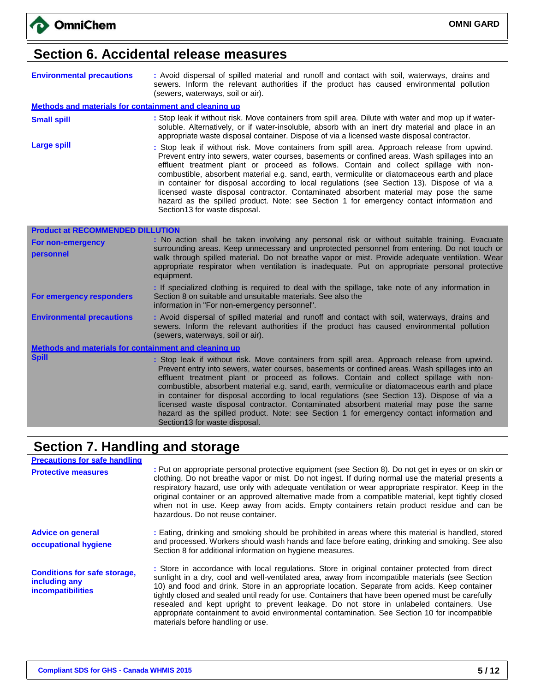### **Section 6. Accidental release measures**

| <b>Environmental precautions</b> |                                                                                                                                |  |  |  | : Avoid dispersal of spilled material and runoff and contact with soil, waterways, drains and |  |
|----------------------------------|--------------------------------------------------------------------------------------------------------------------------------|--|--|--|-----------------------------------------------------------------------------------------------|--|
|                                  | sewers. Inform the relevant authorities if the product has caused environmental pollution<br>(sewers, waterways, soil or air). |  |  |  |                                                                                               |  |

#### **Methods and materials for containment and cleaning up**

- **Small spill interproduce in Stop Stop leak if without risk.** Move containers from spill area. Dilute with water and mop up if watersoluble. Alternatively, or if water-insoluble, absorb with an inert dry material and place in an appropriate waste disposal container. Dispose of via a licensed waste disposal contractor.
- Large spill **Large spill interest and the Stop leak** if without risk. Move containers from spill area. Approach release from upwind. Prevent entry into sewers, water courses, basements or confined areas. Wash spillages into an effluent treatment plant or proceed as follows. Contain and collect spillage with noncombustible, absorbent material e.g. sand, earth, vermiculite or diatomaceous earth and place in container for disposal according to local regulations (see Section 13). Dispose of via a licensed waste disposal contractor. Contaminated absorbent material may pose the same hazard as the spilled product. Note: see Section 1 for emergency contact information and Section13 for waste disposal.

| <b>Product at RECOMMENDED DILLUTION</b>               |                                                                                                                                                                                                                                                                                                                                                                                                                                                                                                                                                                                 |  |  |  |
|-------------------------------------------------------|---------------------------------------------------------------------------------------------------------------------------------------------------------------------------------------------------------------------------------------------------------------------------------------------------------------------------------------------------------------------------------------------------------------------------------------------------------------------------------------------------------------------------------------------------------------------------------|--|--|--|
| <b>For non-emergency</b><br>personnel                 | : No action shall be taken involving any personal risk or without suitable training. Evacuate<br>surrounding areas. Keep unnecessary and unprotected personnel from entering. Do not touch or<br>walk through spilled material. Do not breathe vapor or mist. Provide adequate ventilation. Wear<br>appropriate respirator when ventilation is inadequate. Put on appropriate personal protective<br>equipment.                                                                                                                                                                 |  |  |  |
| For emergency responders                              | : If specialized clothing is required to deal with the spillage, take note of any information in<br>Section 8 on suitable and unsuitable materials. See also the<br>information in "For non-emergency personnel".                                                                                                                                                                                                                                                                                                                                                               |  |  |  |
| <b>Environmental precautions</b>                      | : Avoid dispersal of spilled material and runoff and contact with soil, waterways, drains and<br>sewers. Inform the relevant authorities if the product has caused environmental pollution<br>(sewers, waterways, soil or air).                                                                                                                                                                                                                                                                                                                                                 |  |  |  |
| Methods and materials for containment and cleaning up |                                                                                                                                                                                                                                                                                                                                                                                                                                                                                                                                                                                 |  |  |  |
| <b>Spill</b>                                          | : Stop leak if without risk. Move containers from spill area. Approach release from upwind.<br>Prevent entry into sewers, water courses, basements or confined areas. Wash spillages into an<br>effluent treatment plant or proceed as follows. Contain and collect spillage with non-<br>combustible, absorbent material e.g. sand, earth, vermiculite or diatomaceous earth and place<br>in container for disposal according to local regulations (see Section 13). Dispose of via a<br>licensed waste disposal contractor. Contaminated absorbent material may pose the same |  |  |  |

hazard as the spilled product. Note: see Section 1 for emergency contact information and

### **Section 7. Handling and storage**

Section13 for waste disposal.

| <b>Precautions for safe handling</b>                                      |                                                                                                                                                                                                                                                                                                                                                                                                                                                                                                                                                                                                                                           |
|---------------------------------------------------------------------------|-------------------------------------------------------------------------------------------------------------------------------------------------------------------------------------------------------------------------------------------------------------------------------------------------------------------------------------------------------------------------------------------------------------------------------------------------------------------------------------------------------------------------------------------------------------------------------------------------------------------------------------------|
| <b>Protective measures</b>                                                | : Put on appropriate personal protective equipment (see Section 8). Do not get in eyes or on skin or<br>clothing. Do not breathe vapor or mist. Do not ingest. If during normal use the material presents a<br>respiratory hazard, use only with adequate ventilation or wear appropriate respirator. Keep in the<br>original container or an approved alternative made from a compatible material, kept tightly closed<br>when not in use. Keep away from acids. Empty containers retain product residue and can be<br>hazardous. Do not reuse container.                                                                                |
| <b>Advice on general</b><br>occupational hygiene                          | : Eating, drinking and smoking should be prohibited in areas where this material is handled, stored<br>and processed. Workers should wash hands and face before eating, drinking and smoking. See also<br>Section 8 for additional information on hygiene measures.                                                                                                                                                                                                                                                                                                                                                                       |
| <b>Conditions for safe storage,</b><br>including any<br>incompatibilities | : Store in accordance with local regulations. Store in original container protected from direct<br>sunlight in a dry, cool and well-ventilated area, away from incompatible materials (see Section<br>10) and food and drink. Store in an appropriate location. Separate from acids. Keep container<br>tightly closed and sealed until ready for use. Containers that have been opened must be carefully<br>resealed and kept upright to prevent leakage. Do not store in unlabeled containers. Use<br>appropriate containment to avoid environmental contamination. See Section 10 for incompatible<br>materials before handling or use. |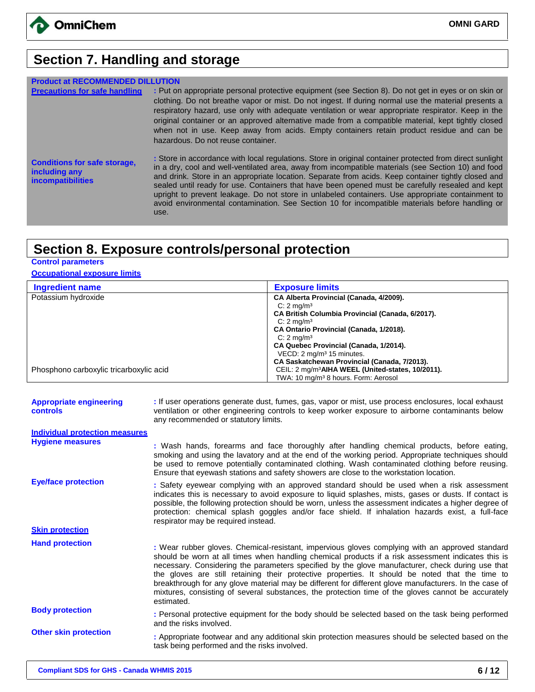

# **Section 7. Handling and storage**

| <b>Product at RECOMMENDED DI</b>                                                 |                                                                                                                                                                                                                                                                                                                                                                                                                                                                                                                                                                                                                                           |
|----------------------------------------------------------------------------------|-------------------------------------------------------------------------------------------------------------------------------------------------------------------------------------------------------------------------------------------------------------------------------------------------------------------------------------------------------------------------------------------------------------------------------------------------------------------------------------------------------------------------------------------------------------------------------------------------------------------------------------------|
| <b>Precautions for safe handling</b>                                             | : Put on appropriate personal protective equipment (see Section 8). Do not get in eyes or on skin or<br>clothing. Do not breathe vapor or mist. Do not ingest. If during normal use the material presents a<br>respiratory hazard, use only with adequate ventilation or wear appropriate respirator. Keep in the<br>original container or an approved alternative made from a compatible material, kept tightly closed<br>when not in use. Keep away from acids. Empty containers retain product residue and can be<br>hazardous. Do not reuse container.                                                                                |
| <b>Conditions for safe storage,</b><br>including any<br><b>incompatibilities</b> | : Store in accordance with local regulations. Store in original container protected from direct sunlight<br>in a dry, cool and well-ventilated area, away from incompatible materials (see Section 10) and food<br>and drink. Store in an appropriate location. Separate from acids. Keep container tightly closed and<br>sealed until ready for use. Containers that have been opened must be carefully resealed and kept<br>upright to prevent leakage. Do not store in unlabeled containers. Use appropriate containment to<br>avoid environmental contamination. See Section 10 for incompatible materials before handling or<br>use. |

# **Section 8. Exposure controls/personal protection**

### **Control parameters**

### **Occupational exposure limits**

| Ingredient name                         | <b>Exposure limits</b>                                        |
|-----------------------------------------|---------------------------------------------------------------|
| Potassium hydroxide                     | CA Alberta Provincial (Canada, 4/2009).                       |
|                                         | C: $2 \text{ ma/m}^3$                                         |
|                                         | CA British Columbia Provincial (Canada, 6/2017).              |
|                                         | C: $2 \text{ mq/m}^3$                                         |
|                                         | CA Ontario Provincial (Canada, 1/2018).                       |
|                                         | C: $2 \text{ ma/m}^3$                                         |
|                                         | CA Quebec Provincial (Canada, 1/2014).                        |
|                                         | VECD: 2 mg/m <sup>3</sup> 15 minutes.                         |
|                                         | CA Saskatchewan Provincial (Canada, 7/2013).                  |
| Phosphono carboxylic tricarboxylic acid | CEIL: 2 mg/m <sup>3</sup> AIHA WEEL (United-states, 10/2011). |
|                                         | TWA: 10 mg/m <sup>3</sup> 8 hours. Form: Aerosol              |

| <b>Appropriate engineering</b><br><b>controls</b> | : If user operations generate dust, fumes, gas, vapor or mist, use process enclosures, local exhaust<br>ventilation or other engineering controls to keep worker exposure to airborne contaminants below<br>any recommended or statutory limits.                                                                                                                                                                                                                                                                                                                                                                                           |
|---------------------------------------------------|--------------------------------------------------------------------------------------------------------------------------------------------------------------------------------------------------------------------------------------------------------------------------------------------------------------------------------------------------------------------------------------------------------------------------------------------------------------------------------------------------------------------------------------------------------------------------------------------------------------------------------------------|
| <b>Individual protection measures</b>             |                                                                                                                                                                                                                                                                                                                                                                                                                                                                                                                                                                                                                                            |
| <b>Hygiene measures</b>                           | : Wash hands, forearms and face thoroughly after handling chemical products, before eating,<br>smoking and using the lavatory and at the end of the working period. Appropriate techniques should<br>be used to remove potentially contaminated clothing. Wash contaminated clothing before reusing.<br>Ensure that eyewash stations and safety showers are close to the workstation location.                                                                                                                                                                                                                                             |
| <b>Eye/face protection</b>                        | : Safety eyewear complying with an approved standard should be used when a risk assessment<br>indicates this is necessary to avoid exposure to liquid splashes, mists, gases or dusts. If contact is<br>possible, the following protection should be worn, unless the assessment indicates a higher degree of<br>protection: chemical splash goggles and/or face shield. If inhalation hazards exist, a full-face<br>respirator may be required instead.                                                                                                                                                                                   |
| <b>Skin protection</b>                            |                                                                                                                                                                                                                                                                                                                                                                                                                                                                                                                                                                                                                                            |
| <b>Hand protection</b>                            | : Wear rubber gloves. Chemical-resistant, impervious gloves complying with an approved standard<br>should be worn at all times when handling chemical products if a risk assessment indicates this is<br>necessary. Considering the parameters specified by the glove manufacturer, check during use that<br>the gloves are still retaining their protective properties. It should be noted that the time to<br>breakthrough for any glove material may be different for different glove manufacturers. In the case of<br>mixtures, consisting of several substances, the protection time of the gloves cannot be accurately<br>estimated. |
| <b>Body protection</b>                            | : Personal protective equipment for the body should be selected based on the task being performed<br>and the risks involved.                                                                                                                                                                                                                                                                                                                                                                                                                                                                                                               |
| <b>Other skin protection</b>                      | : Appropriate footwear and any additional skin protection measures should be selected based on the<br>task being performed and the risks involved.                                                                                                                                                                                                                                                                                                                                                                                                                                                                                         |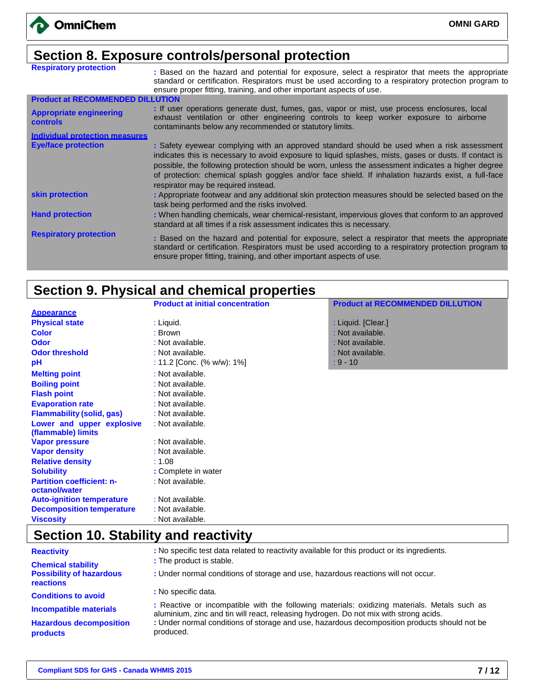### **Section 8. Exposure controls/personal protection**

| <b>Respiratory protection</b>                     | : Based on the hazard and potential for exposure, select a respirator that meets the appropriate<br>standard or certification. Respirators must be used according to a respiratory protection program to<br>ensure proper fitting, training, and other important aspects of use.                                                                                                                                                                         |
|---------------------------------------------------|----------------------------------------------------------------------------------------------------------------------------------------------------------------------------------------------------------------------------------------------------------------------------------------------------------------------------------------------------------------------------------------------------------------------------------------------------------|
| <b>Product at RECOMMENDED DILLUTION</b>           |                                                                                                                                                                                                                                                                                                                                                                                                                                                          |
| <b>Appropriate engineering</b><br><b>controls</b> | : If user operations generate dust, fumes, gas, vapor or mist, use process enclosures, local<br>exhaust ventilation or other engineering controls to keep worker exposure to airborne<br>contaminants below any recommended or statutory limits.                                                                                                                                                                                                         |
| <b>Individual protection measures</b>             |                                                                                                                                                                                                                                                                                                                                                                                                                                                          |
| <b>Eye/face protection</b>                        | : Safety eyewear complying with an approved standard should be used when a risk assessment<br>indicates this is necessary to avoid exposure to liquid splashes, mists, gases or dusts. If contact is<br>possible, the following protection should be worn, unless the assessment indicates a higher degree<br>of protection: chemical splash goggles and/or face shield. If inhalation hazards exist, a full-face<br>respirator may be required instead. |
| skin protection                                   | : Appropriate footwear and any additional skin protection measures should be selected based on the<br>task being performed and the risks involved.                                                                                                                                                                                                                                                                                                       |
| <b>Hand protection</b>                            | : When handling chemicals, wear chemical-resistant, impervious gloves that conform to an approved<br>standard at all times if a risk assessment indicates this is necessary.                                                                                                                                                                                                                                                                             |
| <b>Respiratory protection</b>                     | : Based on the hazard and potential for exposure, select a respirator that meets the appropriate<br>standard or certification. Respirators must be used according to a respiratory protection program to<br>ensure proper fitting, training, and other important aspects of use.                                                                                                                                                                         |

# **Section 9. Physical and chemical properties**

|                                  | <b>Product at initial concentration</b> | <b>Product at RECOMMENDED DILLUTION</b> |  |
|----------------------------------|-----------------------------------------|-----------------------------------------|--|
| <b>Appearance</b>                |                                         |                                         |  |
| <b>Physical state</b>            | : Liquid.                               | : Liquid. [Clear.]                      |  |
| <b>Color</b>                     | : Brown                                 | : Not available.                        |  |
| <b>Odor</b>                      | : Not available.                        | : Not available.                        |  |
| <b>Odor threshold</b>            | : Not available.                        | : Not available.                        |  |
| рH                               | : 11.2 [Conc. (% w/w): 1%]              | $: 9 - 10$                              |  |
| <b>Melting point</b>             | : Not available.                        |                                         |  |
| <b>Boiling point</b>             | : Not available.                        |                                         |  |
| <b>Flash point</b>               | : Not available.                        |                                         |  |
| <b>Evaporation rate</b>          | : Not available.                        |                                         |  |
| <b>Flammability (solid, gas)</b> | : Not available.                        |                                         |  |
| Lower and upper explosive        | : Not available.                        |                                         |  |
| (flammable) limits               |                                         |                                         |  |
| <b>Vapor pressure</b>            | : Not available.                        |                                         |  |
| <b>Vapor density</b>             | : Not available.                        |                                         |  |
| <b>Relative density</b>          | : 1.08                                  |                                         |  |
| <b>Solubility</b>                | : Complete in water                     |                                         |  |
| <b>Partition coefficient: n-</b> | : Not available.                        |                                         |  |
| octanol/water                    |                                         |                                         |  |
| <b>Auto-ignition temperature</b> | : Not available.                        |                                         |  |
| <b>Decomposition temperature</b> | : Not available.                        |                                         |  |
| <b>Viscosity</b>                 | : Not available.                        |                                         |  |

# **Section 10. Stability and reactivity**

| <b>Reactivity</b>                                 | : No specific test data related to reactivity available for this product or its ingredients.                                                                                          |
|---------------------------------------------------|---------------------------------------------------------------------------------------------------------------------------------------------------------------------------------------|
| <b>Chemical stability</b>                         | : The product is stable.                                                                                                                                                              |
| <b>Possibility of hazardous</b><br>reactions      | : Under normal conditions of storage and use, hazardous reactions will not occur.                                                                                                     |
| <b>Conditions to avoid</b>                        | : No specific data.                                                                                                                                                                   |
| <b>Incompatible materials</b>                     | : Reactive or incompatible with the following materials: oxidizing materials. Metals such as<br>aluminium, zinc and tin will react, releasing hydrogen. Do not mix with strong acids. |
| <b>Hazardous decomposition</b><br><b>products</b> | : Under normal conditions of storage and use, hazardous decomposition products should not be<br>produced.                                                                             |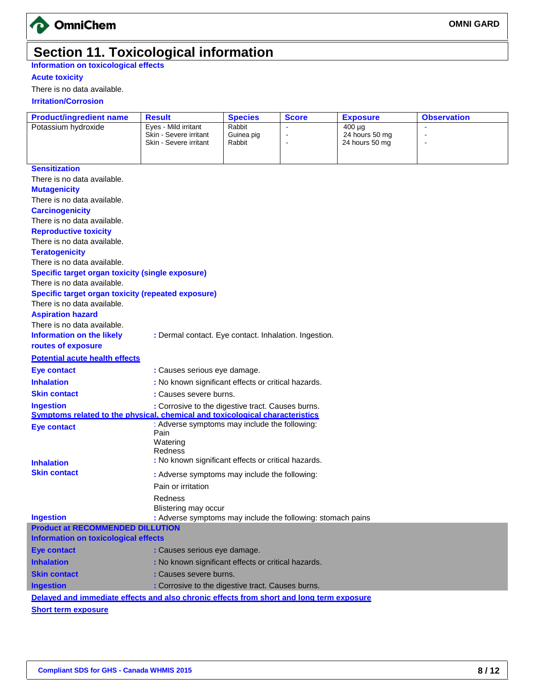

### **Section 11. Toxicological information**

**Information on toxicological effects**

### **Acute toxicity**

There is no data available.

 **Irritation/Corrosion**

| <b>Product/ingredient name</b>                                                                          | <b>Result</b>                                                        | <b>Species</b>       | <b>Score</b>         | <b>Exposure</b>                  | <b>Observation</b> |
|---------------------------------------------------------------------------------------------------------|----------------------------------------------------------------------|----------------------|----------------------|----------------------------------|--------------------|
| Potassium hydroxide                                                                                     | Eyes - Mild irritant                                                 | Rabbit               |                      | $400 \mu g$                      |                    |
|                                                                                                         | Skin - Severe irritant<br>Skin - Severe irritant                     | Guinea pig<br>Rabbit | $\blacksquare$<br>L, | 24 hours 50 mg<br>24 hours 50 mg | $\blacksquare$     |
|                                                                                                         |                                                                      |                      |                      |                                  |                    |
|                                                                                                         |                                                                      |                      |                      |                                  |                    |
| <b>Sensitization</b>                                                                                    |                                                                      |                      |                      |                                  |                    |
| There is no data available.                                                                             |                                                                      |                      |                      |                                  |                    |
| <b>Mutagenicity</b>                                                                                     |                                                                      |                      |                      |                                  |                    |
| There is no data available.                                                                             |                                                                      |                      |                      |                                  |                    |
| <b>Carcinogenicity</b><br>There is no data available.                                                   |                                                                      |                      |                      |                                  |                    |
|                                                                                                         |                                                                      |                      |                      |                                  |                    |
| <b>Reproductive toxicity</b><br>There is no data available.                                             |                                                                      |                      |                      |                                  |                    |
| <b>Teratogenicity</b>                                                                                   |                                                                      |                      |                      |                                  |                    |
| There is no data available.                                                                             |                                                                      |                      |                      |                                  |                    |
| <b>Specific target organ toxicity (single exposure)</b>                                                 |                                                                      |                      |                      |                                  |                    |
| There is no data available.                                                                             |                                                                      |                      |                      |                                  |                    |
| <b>Specific target organ toxicity (repeated exposure)</b>                                               |                                                                      |                      |                      |                                  |                    |
| There is no data available.                                                                             |                                                                      |                      |                      |                                  |                    |
| <b>Aspiration hazard</b>                                                                                |                                                                      |                      |                      |                                  |                    |
| There is no data available.                                                                             |                                                                      |                      |                      |                                  |                    |
| <b>Information on the likely</b>                                                                        | : Dermal contact. Eye contact. Inhalation. Ingestion.                |                      |                      |                                  |                    |
| routes of exposure                                                                                      |                                                                      |                      |                      |                                  |                    |
| <b>Potential acute health effects</b>                                                                   |                                                                      |                      |                      |                                  |                    |
|                                                                                                         |                                                                      |                      |                      |                                  |                    |
| <b>Eye contact</b>                                                                                      | : Causes serious eye damage.                                         |                      |                      |                                  |                    |
| <b>Inhalation</b>                                                                                       | : No known significant effects or critical hazards.                  |                      |                      |                                  |                    |
| <b>Skin contact</b>                                                                                     | : Causes severe burns.                                               |                      |                      |                                  |                    |
| <b>Ingestion</b><br><b>Symptoms related to the physical, chemical and toxicological characteristics</b> | : Corrosive to the digestive tract. Causes burns.                    |                      |                      |                                  |                    |
|                                                                                                         | : Adverse symptoms may include the following:                        |                      |                      |                                  |                    |
| <b>Eye contact</b>                                                                                      | Pain                                                                 |                      |                      |                                  |                    |
|                                                                                                         | Watering                                                             |                      |                      |                                  |                    |
|                                                                                                         | <b>Redness</b>                                                       |                      |                      |                                  |                    |
| <b>Inhalation</b>                                                                                       | : No known significant effects or critical hazards.                  |                      |                      |                                  |                    |
|                                                                                                         | <b>Skin contact</b><br>: Adverse symptoms may include the following: |                      |                      |                                  |                    |
|                                                                                                         | Pain or irritation                                                   |                      |                      |                                  |                    |
|                                                                                                         | Redness                                                              |                      |                      |                                  |                    |
|                                                                                                         | Blistering may occur                                                 |                      |                      |                                  |                    |
| <b>Ingestion</b>                                                                                        | : Adverse symptoms may include the following: stomach pains          |                      |                      |                                  |                    |
| <b>Product at RECOMMENDED DILLUTION</b>                                                                 |                                                                      |                      |                      |                                  |                    |
| <b>Information on toxicological effects</b>                                                             |                                                                      |                      |                      |                                  |                    |
| <b>Eye contact</b>                                                                                      | : Causes serious eye damage.                                         |                      |                      |                                  |                    |
| <b>Inhalation</b>                                                                                       | : No known significant effects or critical hazards.                  |                      |                      |                                  |                    |
| <b>Skin contact</b>                                                                                     | : Causes severe burns.                                               |                      |                      |                                  |                    |
| <b>Ingestion</b>                                                                                        | : Corrosive to the digestive tract. Causes burns.                    |                      |                      |                                  |                    |
| Delayed and immediate effects and also chronic effects from short and long term exposure                |                                                                      |                      |                      |                                  |                    |
| <b>Short term exposure</b>                                                                              |                                                                      |                      |                      |                                  |                    |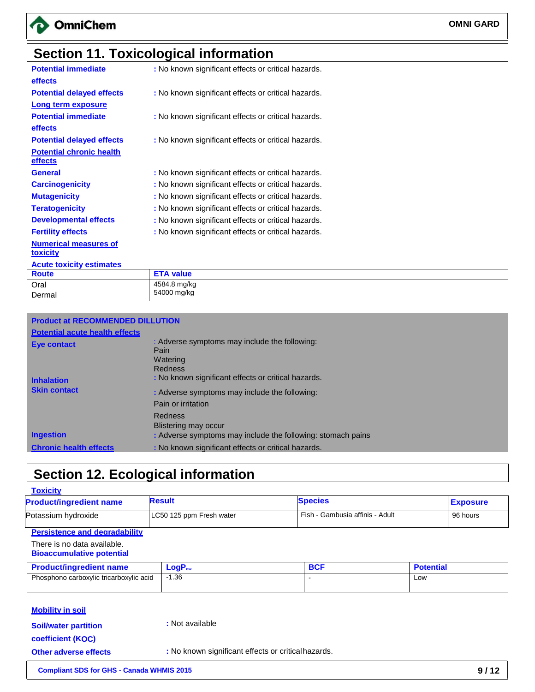

# **Section 11. Toxicological information**

| <b>Potential immediate</b><br>effects | : No known significant effects or critical hazards. |
|---------------------------------------|-----------------------------------------------------|
| <b>Potential delayed effects</b>      | : No known significant effects or critical hazards. |
| Long term exposure                    |                                                     |
| <b>Potential immediate</b>            | : No known significant effects or critical hazards. |
| effects                               |                                                     |
| <b>Potential delayed effects</b>      | : No known significant effects or critical hazards. |
| <b>Potential chronic health</b>       |                                                     |
| effects                               |                                                     |
| <b>General</b>                        | : No known significant effects or critical hazards. |
| <b>Carcinogenicity</b>                | : No known significant effects or critical hazards. |
| <b>Mutagenicity</b>                   | : No known significant effects or critical hazards. |
| <b>Teratogenicity</b>                 | : No known significant effects or critical hazards. |
| <b>Developmental effects</b>          | : No known significant effects or critical hazards. |
| <b>Fertility effects</b>              | : No known significant effects or critical hazards. |
| <b>Numerical measures of</b>          |                                                     |
| toxicity                              |                                                     |
| <b>Acute toxicity estimates</b>       |                                                     |
| <b>Route</b>                          | <b>ETA value</b>                                    |
| ∩rol                                  | $4584$ 8 ma/ka                                      |

| Dermal<br><b>Product at RECOMMENDED DILLUTION</b> |                             |
|---------------------------------------------------|-----------------------------|
| Oral                                              | 4584.8 mg/kg<br>54000 mg/kg |
| l Route                                           | <b>ETA VAIUE</b>            |

| <b>Potential acute health effects</b> |                                                                              |
|---------------------------------------|------------------------------------------------------------------------------|
| <b>Eye contact</b>                    | : Adverse symptoms may include the following:<br>Pain<br>Watering<br>Redness |
| <b>Inhalation</b>                     | : No known significant effects or critical hazards.                          |
| <b>Skin contact</b>                   | : Adverse symptoms may include the following:                                |
|                                       | Pain or irritation                                                           |
|                                       | Redness<br>Blistering may occur                                              |
| <b>Ingestion</b>                      | : Adverse symptoms may include the following: stomach pains                  |
| <b>Chronic health effects</b>         | : No known significant effects or critical hazards.                          |

# **Section 12. Ecological information**

| <b>Toxicity</b>                |                          |                                 |                 |
|--------------------------------|--------------------------|---------------------------------|-----------------|
| <b>Product/ingredient name</b> | <b>Result</b>            | <b>Species</b>                  | <b>Exposure</b> |
| Potassium hydroxide            | LC50 125 ppm Fresh water | Fish - Gambusia affinis - Adult | 96 hours        |

### **Persistence and degradability**

#### There is no data available. **Bioaccumulative potential**

| <b>Product/ingredient name</b>          | $LogP_{ow}$ | <b>BCF</b> | <b>Potential</b> |
|-----------------------------------------|-------------|------------|------------------|
| Phosphono carboxylic tricarboxylic acid | .36         |            | Low              |
|                                         |             |            |                  |

### **Mobility in soil**

**Soil/water partition coefficient (KOC)**

**:** Not available

**Other adverse effects :** No known significant effects or criticalhazards.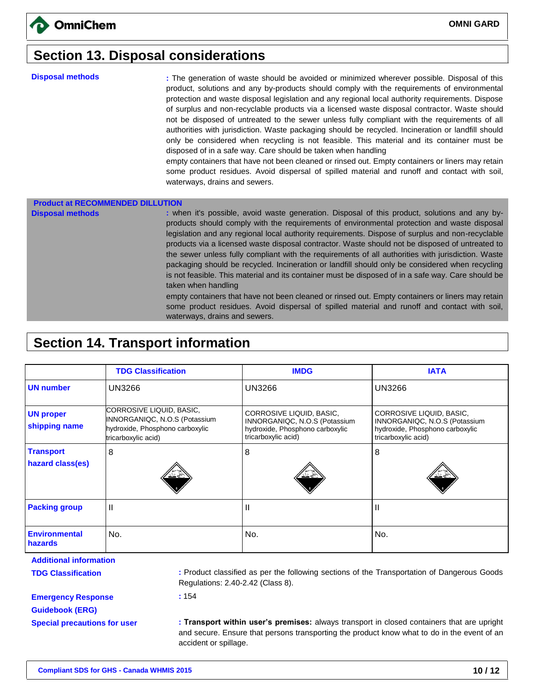### **Section 13. Disposal considerations**

**Disposal methods :** The generation of waste should be avoided or minimized wherever possible. Disposal of this product, solutions and any by-products should comply with the requirements of environmental protection and waste disposal legislation and any regional local authority requirements. Dispose of surplus and non-recyclable products via a licensed waste disposal contractor. Waste should not be disposed of untreated to the sewer unless fully compliant with the requirements of all authorities with jurisdiction. Waste packaging should be recycled. Incineration or landfill should only be considered when recycling is not feasible. This material and its container must be disposed of in a safe way. Care should be taken when handling

empty containers that have not been cleaned or rinsed out. Empty containers or liners may retain some product residues. Avoid dispersal of spilled material and runoff and contact with soil, waterways, drains and sewers.

#### **Product at RECOMMENDED DILLUTION**

**Disposal methods : when it's possible, avoid waste generation. Disposal of this product, solutions and any by**products should comply with the requirements of environmental protection and waste disposal legislation and any regional local authority requirements. Dispose of surplus and non-recyclable products via a licensed waste disposal contractor. Waste should not be disposed of untreated to the sewer unless fully compliant with the requirements of all authorities with jurisdiction. Waste packaging should be recycled. Incineration or landfill should only be considered when recycling is not feasible. This material and its container must be disposed of in a safe way. Care should be taken when handling

empty containers that have not been cleaned or rinsed out. Empty containers or liners may retain some product residues. Avoid dispersal of spilled material and runoff and contact with soil, waterways, drains and sewers.

### **Section 14. Transport information**

|                                      | <b>TDG Classification</b>                                                                                           | <b>IMDG</b>                                                                                                         | <b>IATA</b>                                                                                                         |
|--------------------------------------|---------------------------------------------------------------------------------------------------------------------|---------------------------------------------------------------------------------------------------------------------|---------------------------------------------------------------------------------------------------------------------|
| <b>UN number</b>                     | UN3266                                                                                                              | <b>UN3266</b>                                                                                                       | <b>UN3266</b>                                                                                                       |
| <b>UN proper</b><br>shipping name    | CORROSIVE LIQUID, BASIC,<br>INNORGANIQC, N.O.S (Potassium<br>hydroxide, Phosphono carboxylic<br>tricarboxylic acid) | CORROSIVE LIQUID, BASIC,<br>INNORGANIQC, N.O.S (Potassium<br>hydroxide, Phosphono carboxylic<br>tricarboxylic acid) | CORROSIVE LIQUID, BASIC,<br>INNORGANIQC, N.O.S (Potassium<br>hydroxide, Phosphono carboxylic<br>tricarboxylic acid) |
| <b>Transport</b><br>hazard class(es) | 8                                                                                                                   | 8                                                                                                                   | 8                                                                                                                   |
|                                      |                                                                                                                     |                                                                                                                     |                                                                                                                     |
| <b>Packing group</b>                 | $\mathbf{H}$                                                                                                        | Ш                                                                                                                   | $\mathbf{I}$                                                                                                        |
| <b>Environmental</b><br>hazards      | No.                                                                                                                 | No.                                                                                                                 | No.                                                                                                                 |
| <b>Additional information</b>        |                                                                                                                     |                                                                                                                     |                                                                                                                     |

**TDG Classification :** Product classified as per the following sections of the Transportation of Dangerous Goods Regulations: 2.40-2.42 (Class 8).

**Emergency Response Guidebook (ERG)**

**Special precautions for user : Transport within user's premises:** always transport in closed containers that are upright and secure. Ensure that persons transporting the product know what to do in the event of an accident or spillage.

**:** 154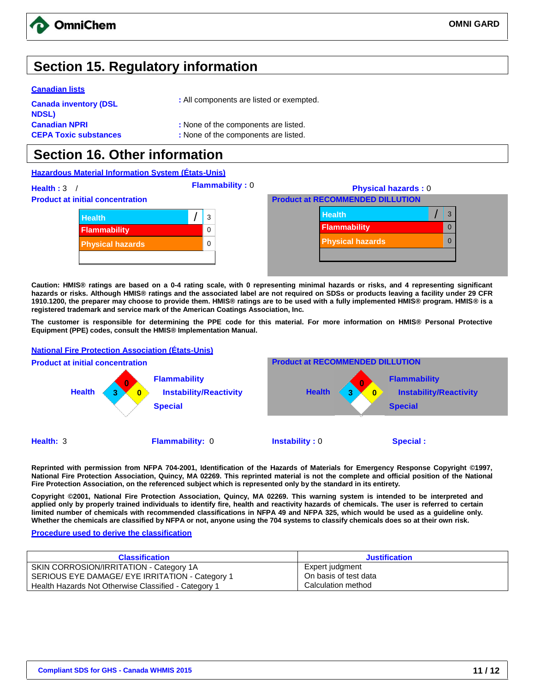

### **Section 15. Regulatory information**

#### **Canadian lists**

| <b>Canada inventory (DSL</b> | : All components are listed or exempted. |
|------------------------------|------------------------------------------|
| NDSL)                        |                                          |
| <b>Canadian NPRI</b>         | : None of the components are listed.     |
| <b>CEPA Toxic substances</b> | : None of the components are listed.     |

### **Section 16. Other information**

#### **Hazardous Material Information System (États-Unis)**

**Health : 3** / **Flammability : 0 Physical hazards : 0 Product at initial concentration Product at RECOMMENDED DILLUTION Health** / 3 **Flammability** 0 **Physical hazards** 0 **Health** *Mealth Mealth Mealth Mealth Mealth Mealth Mealth Mealth* **Flammability** 0 **Physical hazards** 0

**Caution: HMIS® ratings are based on a 0-4 rating scale, with 0 representing minimal hazards or risks, and 4 representing significant hazards or risks. Although HMIS® ratings and the associated label are not required on SDSs or products leaving a facility under 29 CFR 1910.1200, the preparer may choose to provide them. HMIS® ratings are to be used with a fully implemented HMIS® program. HMIS® is a registered trademark and service mark of the American Coatings Association, Inc.** 

**The customer is responsible for determining the PPE code for this material. For more information on HMIS® Personal Protective Equipment (PPE) codes, consult the HMIS® Implementation Manual.**

#### **National Fire Protection Association (États-Unis) Product at initial concentration Product at RECOMMENDED DILLUTION Health 0 3 × 0 Flammability Instability/Reactivity Special Health 0 3 × 0 Flammability Instability/Reactivity Special Health:** 3 **Flammability:** 0 **Instability :** 0 **Special :**

**Reprinted with permission from NFPA 704-2001, Identification of the Hazards of Materials for Emergency Response Copyright ©1997, National Fire Protection Association, Quincy, MA 02269. This reprinted material is not the complete and official position of the National Fire Protection Association, on the referenced subject which is represented only by the standard in its entirety.** 

**Copyright ©2001, National Fire Protection Association, Quincy, MA 02269. This warning system is intended to be interpreted and applied only by properly trained individuals to identify fire, health and reactivity hazards of chemicals. The user is referred to certain limited number of chemicals with recommended classifications in NFPA 49 and NFPA 325, which would be used as a guideline only. Whether the chemicals are classified by NFPA or not, anyone using the 704 systems to classify chemicals does so at their own risk.**

#### **Procedure used to derive the classification**

| <b>Classification</b>                                | <b>Justification</b>  |
|------------------------------------------------------|-----------------------|
| SKIN CORROSION/IRRITATION - Category 1A              | Expert judgment       |
| SERIOUS EYE DAMAGE/ EYE IRRITATION - Category 1      | On basis of test data |
| Health Hazards Not Otherwise Classified - Category 1 | Calculation method    |